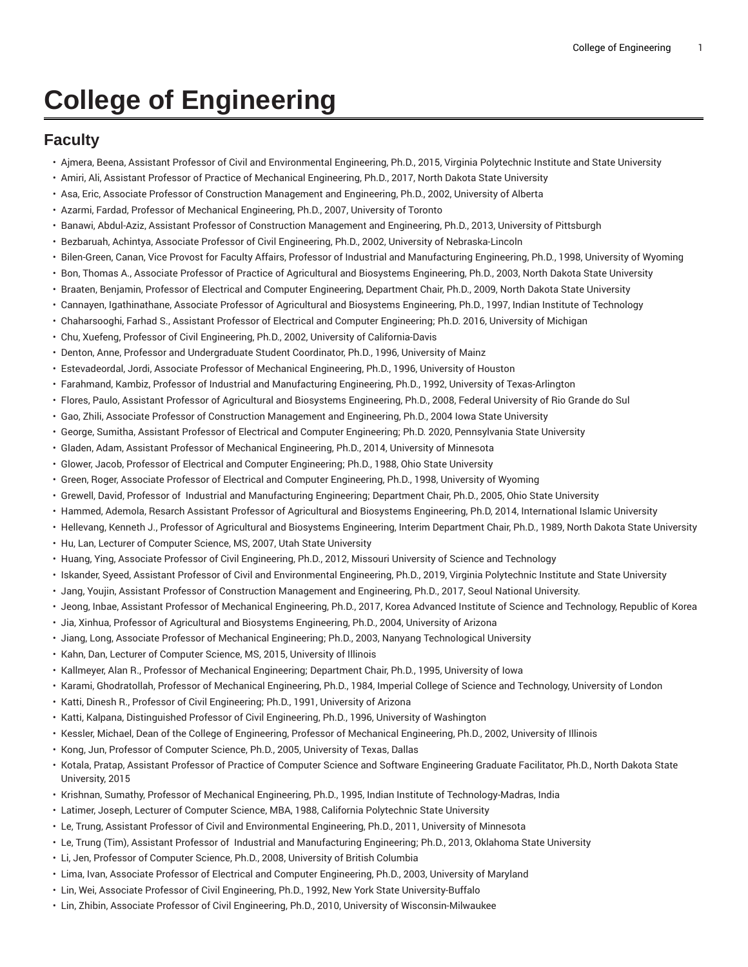## **College of Engineering**

## **Faculty**

- Ajmera, Beena, Assistant Professor of Civil and Environmental Engineering, Ph.D., 2015, Virginia Polytechnic Institute and State University
- Amiri, Ali, Assistant Professor of Practice of Mechanical Engineering, Ph.D., 2017, North Dakota State University
- Asa, Eric, Associate Professor of Construction Management and Engineering, Ph.D., 2002, University of Alberta
- Azarmi, Fardad, Professor of Mechanical Engineering, Ph.D., 2007, University of Toronto
- Banawi, Abdul-Aziz, Assistant Professor of Construction Management and Engineering, Ph.D., 2013, University of Pittsburgh
- Bezbaruah, Achintya, Associate Professor of Civil Engineering, Ph.D., 2002, University of Nebraska-Lincoln
- Bilen-Green, Canan, Vice Provost for Faculty Affairs, Professor of Industrial and Manufacturing Engineering, Ph.D., 1998, University of Wyoming
- Bon, Thomas A., Associate Professor of Practice of Agricultural and Biosystems Engineering, Ph.D., 2003, North Dakota State University
- Braaten, Benjamin, Professor of Electrical and Computer Engineering, Department Chair, Ph.D., 2009, North Dakota State University
- Cannayen, Igathinathane, Associate Professor of Agricultural and Biosystems Engineering, Ph.D., 1997, Indian Institute of Technology
- Chaharsooghi, Farhad S., Assistant Professor of Electrical and Computer Engineering; Ph.D. 2016, University of Michigan
- Chu, Xuefeng, Professor of Civil Engineering, Ph.D., 2002, University of California-Davis
- Denton, Anne, Professor and Undergraduate Student Coordinator, Ph.D., 1996, University of Mainz
- Estevadeordal, Jordi, Associate Professor of Mechanical Engineering, Ph.D., 1996, University of Houston
- Farahmand, Kambiz, Professor of Industrial and Manufacturing Engineering, Ph.D., 1992, University of Texas-Arlington
- Flores, Paulo, Assistant Professor of Agricultural and Biosystems Engineering, Ph.D., 2008, Federal University of Rio Grande do Sul
- Gao, Zhili, Associate Professor of Construction Management and Engineering, Ph.D., 2004 Iowa State University
- George, Sumitha, Assistant Professor of Electrical and Computer Engineering; Ph.D. 2020, Pennsylvania State University
- Gladen, Adam, Assistant Professor of Mechanical Engineering, Ph.D., 2014, University of Minnesota
- Glower, Jacob, Professor of Electrical and Computer Engineering; Ph.D., 1988, Ohio State University
- Green, Roger, Associate Professor of Electrical and Computer Engineering, Ph.D., 1998, University of Wyoming
- Grewell, David, Professor of Industrial and Manufacturing Engineering; Department Chair, Ph.D., 2005, Ohio State University
- Hammed, Ademola, Resarch Assistant Professor of Agricultural and Biosystems Engineering, Ph.D, 2014, International Islamic University
- Hellevang, Kenneth J., Professor of Agricultural and Biosystems Engineering, Interim Department Chair, Ph.D., 1989, North Dakota State University
- Hu, Lan, Lecturer of Computer Science, MS, 2007, Utah State University
- Huang, Ying, Associate Professor of Civil Engineering, Ph.D., 2012, Missouri University of Science and Technology
- Iskander, Syeed, Assistant Professor of Civil and Environmental Engineering, Ph.D., 2019, Virginia Polytechnic Institute and State University
- Jang, Youjin, Assistant Professor of Construction Management and Engineering, Ph.D., 2017, Seoul National University.
- Jeong, Inbae, Assistant Professor of Mechanical Engineering, Ph.D., 2017, Korea Advanced Institute of Science and Technology, Republic of Korea
- Jia, Xinhua, Professor of Agricultural and Biosystems Engineering, Ph.D., 2004, University of Arizona
- Jiang, Long, Associate Professor of Mechanical Engineering; Ph.D., 2003, Nanyang Technological University
- Kahn, Dan, Lecturer of Computer Science, MS, 2015, University of Illinois
- Kallmeyer, Alan R., Professor of Mechanical Engineering; Department Chair, Ph.D., 1995, University of Iowa
- Karami, Ghodratollah, Professor of Mechanical Engineering, Ph.D., 1984, Imperial College of Science and Technology, University of London
- Katti, Dinesh R., Professor of Civil Engineering; Ph.D., 1991, University of Arizona
- Katti, Kalpana, Distinguished Professor of Civil Engineering, Ph.D., 1996, University of Washington
- Kessler, Michael, Dean of the College of Engineering, Professor of Mechanical Engineering, Ph.D., 2002, University of Illinois
- Kong, Jun, Professor of Computer Science, Ph.D., 2005, University of Texas, Dallas
- Kotala, Pratap, Assistant Professor of Practice of Computer Science and Software Engineering Graduate Facilitator, Ph.D., North Dakota State University, 2015
- Krishnan, Sumathy, Professor of Mechanical Engineering, Ph.D., 1995, Indian Institute of Technology-Madras, India
- Latimer, Joseph, Lecturer of Computer Science, MBA, 1988, California Polytechnic State University
- Le, Trung, Assistant Professor of Civil and Environmental Engineering, Ph.D., 2011, University of Minnesota
- Le, Trung (Tim), Assistant Professor of Industrial and Manufacturing Engineering; Ph.D., 2013, Oklahoma State University
- Li, Jen, Professor of Computer Science, Ph.D., 2008, University of British Columbia
- Lima, Ivan, Associate Professor of Electrical and Computer Engineering, Ph.D., 2003, University of Maryland
- Lin, Wei, Associate Professor of Civil Engineering, Ph.D., 1992, New York State University-Buffalo
- Lin, Zhibin, Associate Professor of Civil Engineering, Ph.D., 2010, University of Wisconsin-Milwaukee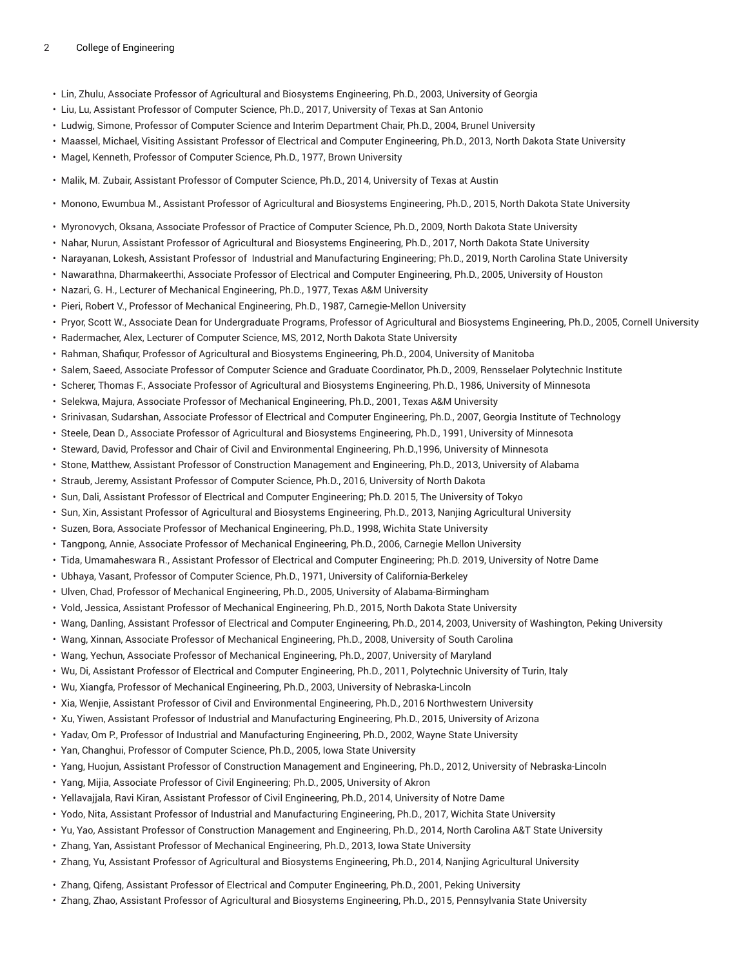## 2 College of Engineering

- Lin, Zhulu, Associate Professor of Agricultural and Biosystems Engineering, Ph.D., 2003, University of Georgia
- Liu, Lu, Assistant Professor of Computer Science, Ph.D., 2017, University of Texas at San Antonio
- Ludwig, Simone, Professor of Computer Science and Interim Department Chair, Ph.D., 2004, Brunel University
- Maassel, Michael, Visiting Assistant Professor of Electrical and Computer Engineering, Ph.D., 2013, North Dakota State University
- Magel, Kenneth, Professor of Computer Science, Ph.D., 1977, Brown University
- Malik, M. Zubair, Assistant Professor of Computer Science, Ph.D., 2014, University of Texas at Austin
- Monono, Ewumbua M., Assistant Professor of Agricultural and Biosystems Engineering, Ph.D., 2015, North Dakota State University
- Myronovych, Oksana, Associate Professor of Practice of Computer Science, Ph.D., 2009, North Dakota State University
- Nahar, Nurun, Assistant Professor of Agricultural and Biosystems Engineering, Ph.D., 2017, North Dakota State University
- Narayanan, Lokesh, Assistant Professor of Industrial and Manufacturing Engineering; Ph.D., 2019, North Carolina State University
- Nawarathna, Dharmakeerthi, Associate Professor of Electrical and Computer Engineering, Ph.D., 2005, University of Houston
- Nazari, G. H., Lecturer of Mechanical Engineering, Ph.D., 1977, Texas A&M University
- Pieri, Robert V., Professor of Mechanical Engineering, Ph.D., 1987, Carnegie-Mellon University
- Pryor, Scott W., Associate Dean for Undergraduate Programs, Professor of Agricultural and Biosystems Engineering, Ph.D., 2005, Cornell University
- Radermacher, Alex, Lecturer of Computer Science, MS, 2012, North Dakota State University
- Rahman, Shafiqur, Professor of Agricultural and Biosystems Engineering, Ph.D., 2004, University of Manitoba
- Salem, Saeed, Associate Professor of Computer Science and Graduate Coordinator, Ph.D., 2009, Rensselaer Polytechnic Institute
- Scherer, Thomas F., Associate Professor of Agricultural and Biosystems Engineering, Ph.D., 1986, University of Minnesota
- Selekwa, Majura, Associate Professor of Mechanical Engineering, Ph.D., 2001, Texas A&M University
- Srinivasan, Sudarshan, Associate Professor of Electrical and Computer Engineering, Ph.D., 2007, Georgia Institute of Technology
- Steele, Dean D., Associate Professor of Agricultural and Biosystems Engineering, Ph.D., 1991, University of Minnesota
- Steward, David, Professor and Chair of Civil and Environmental Engineering, Ph.D.,1996, University of Minnesota
- Stone, Matthew, Assistant Professor of Construction Management and Engineering, Ph.D., 2013, University of Alabama
- Straub, Jeremy, Assistant Professor of Computer Science, Ph.D., 2016, University of North Dakota
- Sun, Dali, Assistant Professor of Electrical and Computer Engineering; Ph.D. 2015, The University of Tokyo
- Sun, Xin, Assistant Professor of Agricultural and Biosystems Engineering, Ph.D., 2013, Nanjing Agricultural University
- Suzen, Bora, Associate Professor of Mechanical Engineering, Ph.D., 1998, Wichita State University
- Tangpong, Annie, Associate Professor of Mechanical Engineering, Ph.D., 2006, Carnegie Mellon University
- Tida, Umamaheswara R., Assistant Professor of Electrical and Computer Engineering; Ph.D. 2019, University of Notre Dame
- Ubhaya, Vasant, Professor of Computer Science, Ph.D., 1971, University of California-Berkeley
- Ulven, Chad, Professor of Mechanical Engineering, Ph.D., 2005, University of Alabama-Birmingham
- Vold, Jessica, Assistant Professor of Mechanical Engineering, Ph.D., 2015, North Dakota State University
- Wang, Danling, Assistant Professor of Electrical and Computer Engineering, Ph.D., 2014, 2003, University of Washington, Peking University
- Wang, Xinnan, Associate Professor of Mechanical Engineering, Ph.D., 2008, University of South Carolina
- Wang, Yechun, Associate Professor of Mechanical Engineering, Ph.D., 2007, University of Maryland
- Wu, Di, Assistant Professor of Electrical and Computer Engineering, Ph.D., 2011, Polytechnic University of Turin, Italy
- Wu, Xiangfa, Professor of Mechanical Engineering, Ph.D., 2003, University of Nebraska-Lincoln
- Xia, Wenjie, Assistant Professor of Civil and Environmental Engineering, Ph.D., 2016 Northwestern University
- Xu, Yiwen, Assistant Professor of Industrial and Manufacturing Engineering, Ph.D., 2015, University of Arizona
- Yadav, Om P., Professor of Industrial and Manufacturing Engineering, Ph.D., 2002, Wayne State University
- Yan, Changhui, Professor of Computer Science, Ph.D., 2005, Iowa State University
- Yang, Huojun, Assistant Professor of Construction Management and Engineering, Ph.D., 2012, University of Nebraska-Lincoln
- Yang, Mijia, Associate Professor of Civil Engineering; Ph.D., 2005, University of Akron
- Yellavajjala, Ravi Kiran, Assistant Professor of Civil Engineering, Ph.D., 2014, University of Notre Dame
- Yodo, Nita, Assistant Professor of Industrial and Manufacturing Engineering, Ph.D., 2017, Wichita State University
- Yu, Yao, Assistant Professor of Construction Management and Engineering, Ph.D., 2014, North Carolina A&T State University
- Zhang, Yan, Assistant Professor of Mechanical Engineering, Ph.D., 2013, Iowa State University
- Zhang, Yu, Assistant Professor of Agricultural and Biosystems Engineering, Ph.D., 2014, Nanjing Agricultural University
- Zhang, Qifeng, Assistant Professor of Electrical and Computer Engineering, Ph.D., 2001, Peking University
- Zhang, Zhao, Assistant Professor of Agricultural and Biosystems Engineering, Ph.D., 2015, Pennsylvania State University